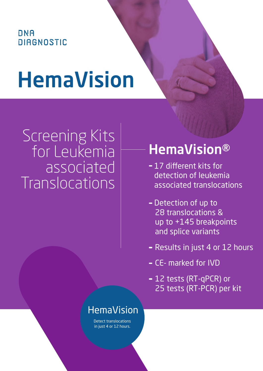## **DNA DIAGNOSTIC**

# HemaVision

# Screening Kits for Leukemia associated **Translocations**

## HemaVision®

- 17 different kits for detection of leukemia associated translocations
- Detection of up to 28 translocations & up to +145 breakpoints and splice variants
- Results in just 4 or 12 hours
- CE- marked for IVD
- 12 tests (RT-qPCR) or 25 tests (RT-PCR) per kit

## HemaVision

Detect translocations in just 4 or 12 hours.